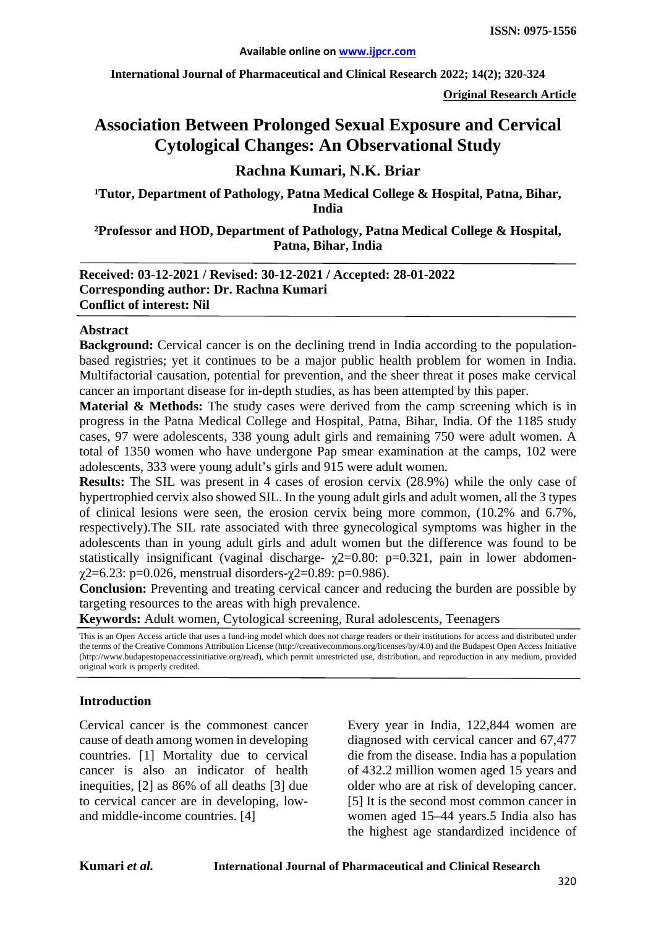**International Journal of Pharmaceutical and Clinical Research 2022; 14(2); 320-324**

**Original Research Article**

# **Association Between Prolonged Sexual Exposure and Cervical Cytological Changes: An Observational Study**

# **Rachna Kumari, N.K. Briar**

<sup>1</sup>Tutor, Department of Pathology, Patna Medical College & Hospital, Patna, Bihar, **India**

**²Professor and HOD, Department of Pathology, Patna Medical College & Hospital, Patna, Bihar, India**

**Received: 03-12-2021 / Revised: 30-12-2021 / Accepted: 28-01-2022 Corresponding author: Dr. Rachna Kumari Conflict of interest: Nil**

#### **Abstract**

**Background:** Cervical cancer is on the declining trend in India according to the populationbased registries; yet it continues to be a major public health problem for women in India. Multifactorial causation, potential for prevention, and the sheer threat it poses make cervical cancer an important disease for in-depth studies, as has been attempted by this paper.

**Material & Methods:** The study cases were derived from the camp screening which is in progress in the Patna Medical College and Hospital, Patna, Bihar, India. Of the 1185 study cases, 97 were adolescents, 338 young adult girls and remaining 750 were adult women. A total of 1350 women who have undergone Pap smear examination at the camps, 102 were adolescents, 333 were young adult's girls and 915 were adult women.

**Results:** The SIL was present in 4 cases of erosion cervix (28.9%) while the only case of hypertrophied cervix also showed SIL. In the young adult girls and adult women, all the 3 types of clinical lesions were seen, the erosion cervix being more common, (10.2% and 6.7%, respectively).The SIL rate associated with three gynecological symptoms was higher in the adolescents than in young adult girls and adult women but the difference was found to be statistically insignificant (vaginal discharge-  $\chi$ 2=0.80: p=0.321, pain in lower abdomen $χ2=6.23$ : p=0.026, menstrual disorders- $χ2=0.89$ : p=0.986).

**Conclusion:** Preventing and treating cervical cancer and reducing the burden are possible by targeting resources to the areas with high prevalence.

**Keywords:** Adult women, Cytological screening, Rural adolescents, Teenagers

This is an Open Access article that uses a fund-ing model which does not charge readers or their institutions for access and distributed under the terms of the Creative Commons Attribution License (http://creativecommons.org/licenses/by/4.0) and the Budapest Open Access Initiative (http://www.budapestopenaccessinitiative.org/read), which permit unrestricted use, distribution, and reproduction in any medium, provided original work is properly credited.

#### **Introduction**

Cervical cancer is the commonest cancer cause of death among women in developing countries. [1] Mortality due to cervical cancer is also an indicator of health inequities, [2] as 86% of all deaths [3] due to cervical cancer are in developing, lowand middle-income countries. [4]

Every year in India, 122,844 women are diagnosed with cervical cancer and 67,477 die from the disease. India has a population of 432.2 million women aged 15 years and older who are at risk of developing cancer. [5] It is the second most common cancer in women aged 15–44 years.5 India also has the highest age standardized incidence of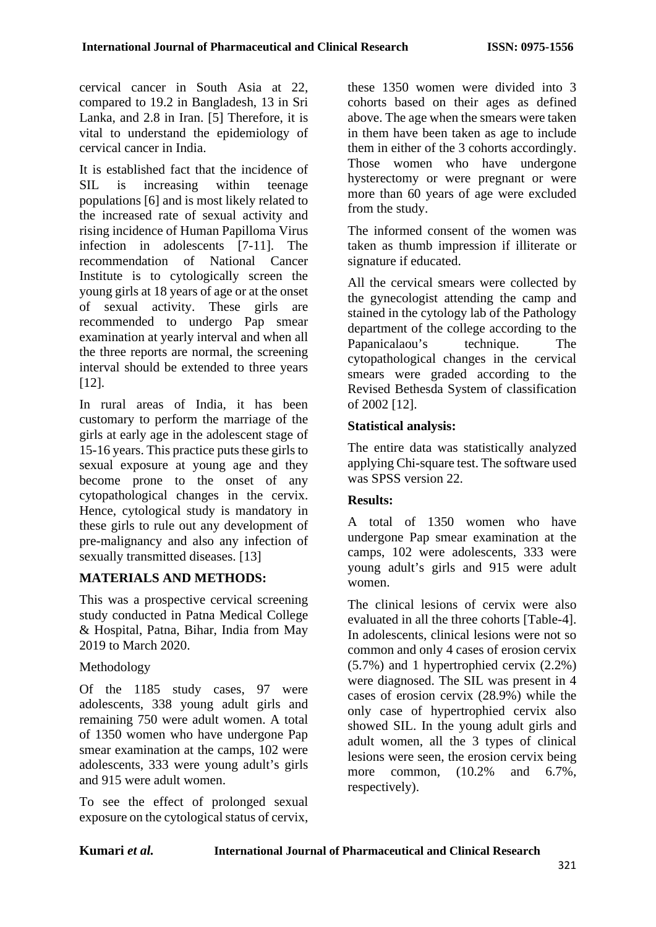cervical cancer in South Asia at 22, compared to 19.2 in Bangladesh, 13 in Sri Lanka, and 2.8 in Iran. [5] Therefore, it is vital to understand the epidemiology of cervical cancer in India.

It is established fact that the incidence of SIL is increasing within teenage populations [6] and is most likely related to the increased rate of sexual activity and rising incidence of Human Papilloma Virus infection in adolescents [7-11]. The recommendation of National Cancer Institute is to cytologically screen the young girls at 18 years of age or at the onset of sexual activity. These girls are recommended to undergo Pap smear examination at yearly interval and when all the three reports are normal, the screening interval should be extended to three years [12].

In rural areas of India, it has been customary to perform the marriage of the girls at early age in the adolescent stage of 15-16 years. This practice puts these girls to sexual exposure at young age and they become prone to the onset of any cytopathological changes in the cervix. Hence, cytological study is mandatory in these girls to rule out any development of pre-malignancy and also any infection of sexually transmitted diseases. [13]

## **MATERIALS AND METHODS:**

This was a prospective cervical screening study conducted in Patna Medical College & Hospital, Patna, Bihar, India from May 2019 to March 2020.

## Methodology

Of the 1185 study cases, 97 were adolescents, 338 young adult girls and remaining 750 were adult women. A total of 1350 women who have undergone Pap smear examination at the camps, 102 were adolescents, 333 were young adult's girls and 915 were adult women.

To see the effect of prolonged sexual exposure on the cytological status of cervix, these 1350 women were divided into 3 cohorts based on their ages as defined above. The age when the smears were taken in them have been taken as age to include them in either of the 3 cohorts accordingly. Those women who have undergone hysterectomy or were pregnant or were more than 60 years of age were excluded from the study.

The informed consent of the women was taken as thumb impression if illiterate or signature if educated.

All the cervical smears were collected by the gynecologist attending the camp and stained in the cytology lab of the Pathology department of the college according to the Papanicalaou's technique. The cytopathological changes in the cervical smears were graded according to the Revised Bethesda System of classification of 2002 [12].

#### **Statistical analysis:**

The entire data was statistically analyzed applying Chi-square test. The software used was SPSS version 22.

## **Results:**

A total of 1350 women who have undergone Pap smear examination at the camps, 102 were adolescents, 333 were young adult's girls and 915 were adult women.

The clinical lesions of cervix were also evaluated in all the three cohorts [Table-4]. In adolescents, clinical lesions were not so common and only 4 cases of erosion cervix (5.7%) and 1 hypertrophied cervix (2.2%) were diagnosed. The SIL was present in 4 cases of erosion cervix (28.9%) while the only case of hypertrophied cervix also showed SIL. In the young adult girls and adult women, all the 3 types of clinical lesions were seen, the erosion cervix being more common, (10.2% and 6.7%, respectively).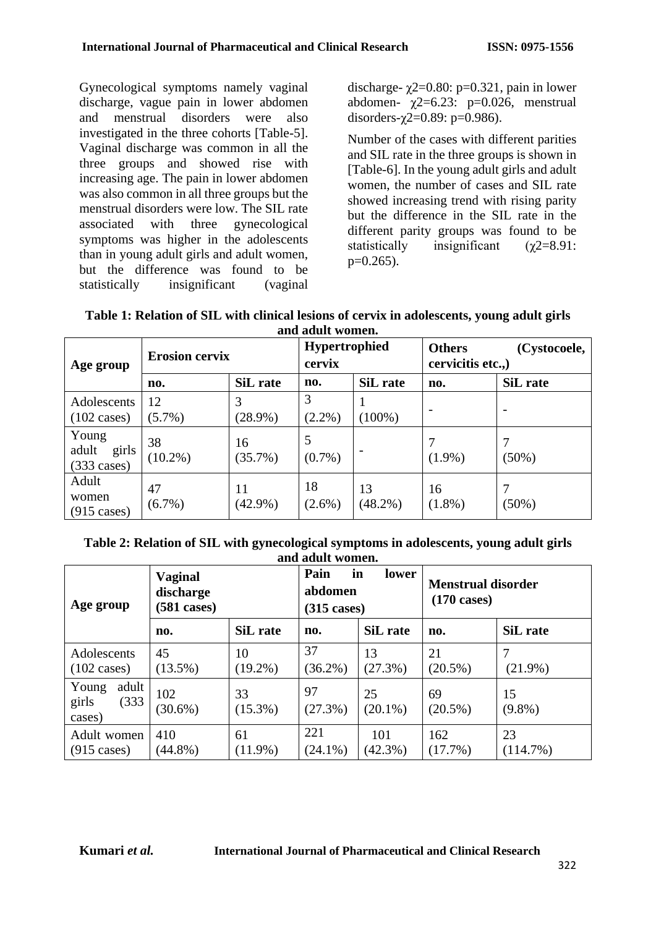Gynecological symptoms namely vaginal discharge, vague pain in lower abdomen and menstrual disorders were also investigated in the three cohorts [Table-5]. Vaginal discharge was common in all the three groups and showed rise with increasing age. The pain in lower abdomen was also common in all three groups but the menstrual disorders were low. The SIL rate associated with three gynecological symptoms was higher in the adolescents than in young adult girls and adult women, but the difference was found to be statistically insignificant (vaginal discharge-  $\gamma$ 2=0.80: p=0.321, pain in lower abdomen-  $\chi$ 2=6.23: p=0.026, menstrual disorders- $\gamma$ 2=0.89: p=0.986).

Number of the cases with different parities and SIL rate in the three groups is shown in [Table-6]. In the young adult girls and adult women, the number of cases and SIL rate showed increasing trend with rising parity but the difference in the SIL rate in the different parity groups was found to be statistically insignificant  $(\gamma 2=8.91)$ :  $p=0.265$ ).

| Table 1: Relation of SIL with clinical lesions of cervix in adolescents, young adult girls |
|--------------------------------------------------------------------------------------------|
| and adult women.                                                                           |

| anu auun women.                                  |                       |                  |                                |                  |                                                   |                          |
|--------------------------------------------------|-----------------------|------------------|--------------------------------|------------------|---------------------------------------------------|--------------------------|
| Age group                                        | <b>Erosion cervix</b> |                  | <b>Hypertrophied</b><br>cervix |                  | <b>Others</b><br>(Cystocoele,<br>cervicitis etc., |                          |
|                                                  | no.                   | SiL rate         | no.                            | SiL rate         | no.                                               | SiL rate                 |
| Adolescents<br>$(102 \text{ cases})$             | 12<br>$(5.7\%)$       | 3<br>$(28.9\%)$  | 3<br>$(2.2\%)$                 | $(100\%)$        |                                                   | $\overline{\phantom{0}}$ |
| Young<br>adult<br>girls<br>$(333 \text{ cases})$ | 38<br>$(10.2\%)$      | 16<br>$(35.7\%)$ | 5<br>$(0.7\%)$                 |                  | $(1.9\%)$                                         | $(50\%)$                 |
| Adult<br>women<br>$(915 \text{ cases})$          | 47<br>$(6.7\%)$       | 11<br>$(42.9\%)$ | 18<br>$(2.6\%)$                | 13<br>$(48.2\%)$ | 16<br>$(1.8\%)$                                   | $(50\%)$                 |

**Table 2: Relation of SIL with gynecological symptoms in adolescents, young adult girls and adult women.**

| Age group                                  | <b>Vaginal</b><br>discharge<br>$(581 \text{ cases})$ |                  | in<br>Pain<br>lower<br>abdomen<br>$(315 \text{ cases})$ |                   | <b>Menstrual disorder</b><br>$(170 \text{ cases})$ |                 |
|--------------------------------------------|------------------------------------------------------|------------------|---------------------------------------------------------|-------------------|----------------------------------------------------|-----------------|
|                                            | no.                                                  | SiL rate         | no.                                                     | SiL rate          | no.                                                | SiL rate        |
| Adolescents<br>$(102 \text{ cases})$       | 45<br>$(13.5\%)$                                     | 10<br>$(19.2\%)$ | 37<br>$(36.2\%)$                                        | 13<br>(27.3%)     | 21<br>$(20.5\%)$                                   | $(21.9\%)$      |
| adult<br>Young<br>girls<br>(333)<br>cases) | 102<br>$(30.6\%)$                                    | 33<br>$(15.3\%)$ | 97<br>(27.3%)                                           | 25<br>$(20.1\%)$  | 69<br>$(20.5\%)$                                   | 15<br>$(9.8\%)$ |
| Adult women<br>$(915 \text{ cases})$       | 410<br>$(44.8\%)$                                    | 61<br>$(11.9\%)$ | 221<br>$(24.1\%)$                                       | 101<br>$(42.3\%)$ | 162<br>(17.7%)                                     | 23<br>(114.7%)  |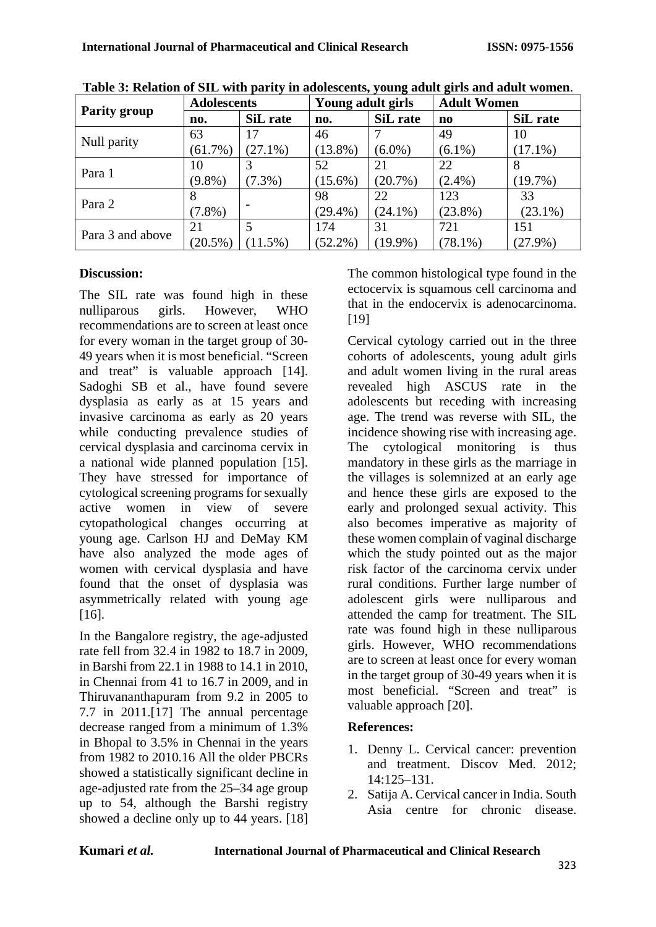|                  | <b>Adolescents</b> |            | Young adult girls |            | <b>Adult Women</b> |            |
|------------------|--------------------|------------|-------------------|------------|--------------------|------------|
| Parity group     | no.                | SiL rate   | no.               | SiL rate   | n <sub>0</sub>     | SiL rate   |
| Null parity      | 63                 | 17         | 46                |            | 49                 | 10         |
|                  | (61.7%)            | $(27.1\%)$ | $(13.8\%)$        | $(6.0\%)$  | $(6.1\%)$          | $(17.1\%)$ |
| Para 1           | 10                 |            | 52                | 21         | 22                 | 8          |
|                  | $(9.8\%)$          | $7.3\%)$   | $(15.6\%)$        | $(20.7\%)$ | $(2.4\%)$          | $(19.7\%)$ |
| Para 2           | 8                  |            | 98                | 22         | 123                | 33         |
|                  | $(7.8\%)$          |            | $(29.4\%)$        | $(24.1\%)$ | $(23.8\%)$         | $(23.1\%)$ |
| Para 3 and above | 21                 | 5          | 174               | 31         | 721                | 151        |
|                  | $(20.5\%)$         | 11.5%)     | $(52.2\%)$        | $(19.9\%)$ | $(78.1\%)$         | $(27.9\%)$ |

**Table 3: Relation of SIL with parity in adolescents, young adult girls and adult women**.

## **Discussion:**

The SIL rate was found high in these nulliparous girls. However, WHO recommendations are to screen at least once for every woman in the target group of 30- 49 years when it is most beneficial. "Screen and treat" is valuable approach [14]. Sadoghi SB et al., have found severe dysplasia as early as at 15 years and invasive carcinoma as early as 20 years while conducting prevalence studies of cervical dysplasia and carcinoma cervix in a national wide planned population [15]. They have stressed for importance of cytological screening programs for sexually active women in view of severe cytopathological changes occurring at young age. Carlson HJ and DeMay KM have also analyzed the mode ages of women with cervical dysplasia and have found that the onset of dysplasia was asymmetrically related with young age [16].

In the Bangalore registry, the age-adjusted rate fell from 32.4 in 1982 to 18.7 in 2009, in Barshi from 22.1 in 1988 to 14.1 in 2010, in Chennai from 41 to 16.7 in 2009, and in Thiruvananthapuram from 9.2 in 2005 to 7.7 in 2011.[17] The annual percentage decrease ranged from a minimum of 1.3% in Bhopal to 3.5% in Chennai in the years from 1982 to 2010.16 All the older PBCRs showed a statistically significant decline in age-adjusted rate from the 25–34 age group up to 54, although the Barshi registry showed a decline only up to 44 years. [18] The common histological type found in the ectocervix is squamous cell carcinoma and that in the endocervix is adenocarcinoma. [19]

Cervical cytology carried out in the three cohorts of adolescents, young adult girls and adult women living in the rural areas revealed high ASCUS rate in the adolescents but receding with increasing age. The trend was reverse with SIL, the incidence showing rise with increasing age. The cytological monitoring is thus mandatory in these girls as the marriage in the villages is solemnized at an early age and hence these girls are exposed to the early and prolonged sexual activity. This also becomes imperative as majority of these women complain of vaginal discharge which the study pointed out as the major risk factor of the carcinoma cervix under rural conditions. Further large number of adolescent girls were nulliparous and attended the camp for treatment. The SIL rate was found high in these nulliparous girls. However, WHO recommendations are to screen at least once for every woman in the target group of 30-49 years when it is most beneficial. "Screen and treat" is valuable approach [20].

## **References:**

- 1. Denny L. Cervical cancer: prevention and treatment. Discov Med. 2012;  $14.125 - 131$
- 2. Satija A. Cervical cancer in India. South Asia centre for chronic disease.